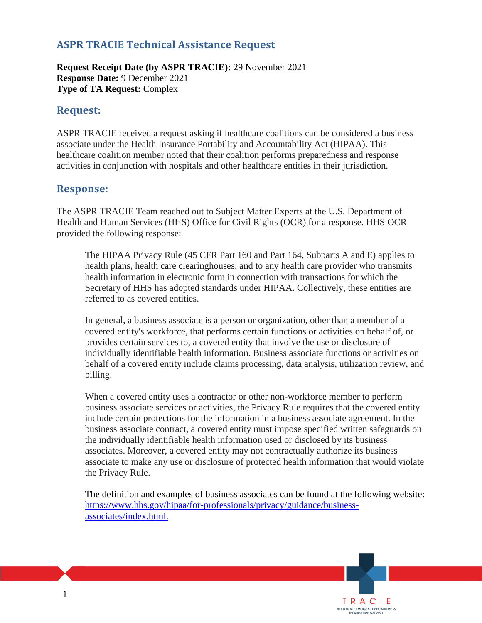## **ASPR TRACIE Technical Assistance Request**

**Request Receipt Date (by ASPR TRACIE):** 29 November 2021 **Response Date:** 9 December 2021 **Type of TA Request:** Complex

## **Request:**

ASPR TRACIE received a request asking if healthcare coalitions can be considered a business associate under the Health Insurance Portability and Accountability Act (HIPAA). This healthcare coalition member noted that their coalition performs preparedness and response activities in conjunction with hospitals and other healthcare entities in their jurisdiction.

## **Response:**

The ASPR TRACIE Team reached out to Subject Matter Experts at the U.S. Department of Health and Human Services (HHS) Office for Civil Rights (OCR) for a response. HHS OCR provided the following response:

The HIPAA Privacy Rule (45 CFR Part 160 and Part 164, Subparts A and E) applies to health plans, health care clearinghouses, and to any health care provider who transmits health information in electronic form in connection with transactions for which the Secretary of HHS has adopted standards under HIPAA. Collectively, these entities are referred to as covered entities.

In general, a business associate is a person or organization, other than a member of a covered entity's workforce, that performs certain functions or activities on behalf of, or provides certain services to, a covered entity that involve the use or disclosure of individually identifiable health information. Business associate functions or activities on behalf of a covered entity include claims processing, data analysis, utilization review, and billing.

When a covered entity uses a contractor or other non-workforce member to perform business associate services or activities, the Privacy Rule requires that the covered entity include certain protections for the information in a business associate agreement. In the business associate contract, a covered entity must impose specified written safeguards on the individually identifiable health information used or disclosed by its business associates. Moreover, a covered entity may not contractually authorize its business associate to make any use or disclosure of protected health information that would violate the Privacy Rule.

The definition and examples of business associates can be found at the following website: [https://www.hhs.gov/hipaa/for-professionals/privacy/guidance/business](https://www.hhs.gov/hipaa/for-professionals/privacy/guidance/business-associates/index.html)[associates/index.html.](https://www.hhs.gov/hipaa/for-professionals/privacy/guidance/business-associates/index.html)

> TRACIE HEALTHCARE EMERGENCY PREPAREDNESS<br>INFORMATION GATEWAY